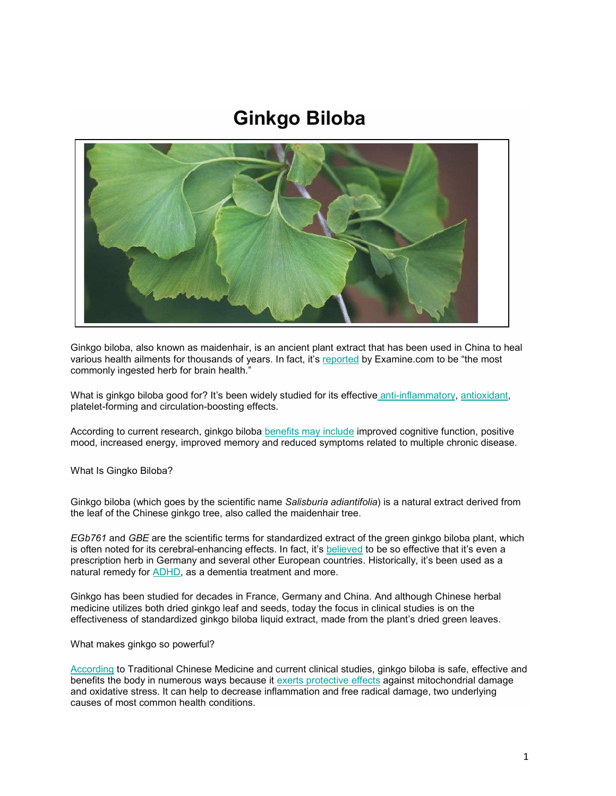# **Ginkgo Biloba**



Ginkgo biloba, also known as maidenhair, is an ancient plant extract that has been used in China to heal various health ailments for thousands of years. In fact, it's reported by Ex[amine.com to be](https://draxe.com/nutrition/anti-inflammatory-foods/) "the most commonly ingested herb for brain health."

What is ginkgo biloba good for? It's been widely studied for its effective anti-inflammatory, antioxidant, platelet-forming and circulation-boosting effect[s.](https://www.ncbi.nlm.nih.gov/pmc/articles/PMC6513461/)

According to current research, ginkgo biloba benefits may include improved cognitive function, positive mood, increased energy, improved memory and reduced symptoms related to multiple chronic disease.

What Is Gingko Biloba?

Ginkgo biloba (which goes by the scientific name *Salisburia adiantifolia*) is a natural extract derived from the leaf of the Chinese ginkgo tree, also called the maidenhair tree.

*EGb761* and *GBE* are the scientific terms for standardized extract of the green ginkgo biloba plant, which is often noted for its cerebral-enhancing effects. In fact, it's believed to be so effective that it's even a prescription herb in [Germa](https://draxe.com/health/natural-remedies-adhd/)ny and several other European countries. Historically, it's been used as a natural remedy for ADHD, as a dementia treatment and more.

Ginkgo has been studied for decades in France, Germany and China. And although Chinese herbal medicine utilizes both dried ginkgo leaf and seeds, today the focus in clinical studies is on the effectiveness of standardized ginkgo biloba liquid extract, made from the plant's dried green leaves.

[What mak](https://www.webmd.com/vitamins/ai/ingredientmono-333/ginkgo)es ginkgo so powerful?

According to Traditional Chinese Medicine and c[urrent clinical studies, g](https://www.ncbi.nlm.nih.gov/pubmed/11665866)inkgo biloba is safe, effective and benefits the body in numerous ways because it exerts protective effects against mitochondrial damage and oxidative stress. It can help to decrease inflammation and free radical damage, two underlying causes of most common health conditions.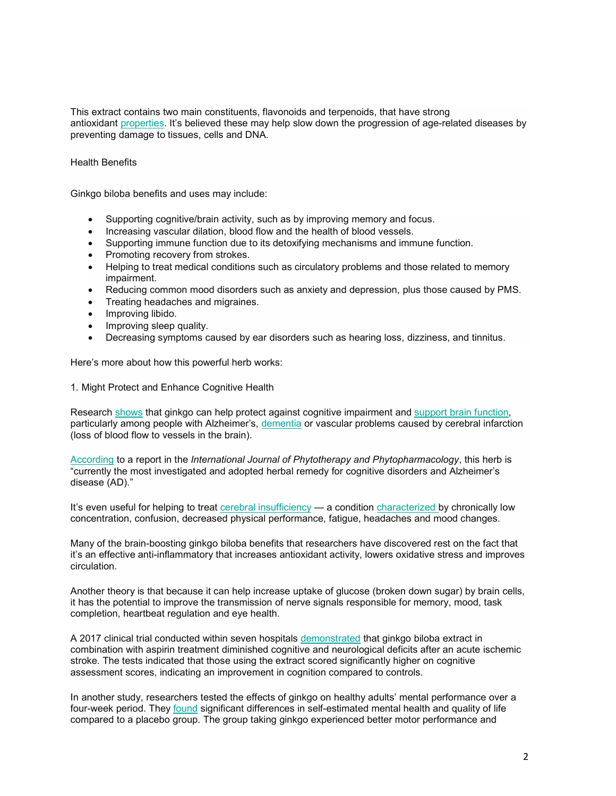This extract contains two main constituents, flavonoids and terpenoids, that have strong antioxidant properties. It's believed these may help slow down the progression of age-related diseases by preventing damage to tissues, cells and DNA.

## Health Benefits

Ginkgo biloba benefits and uses may include:

- Supporting cognitive/brain activity, such as by improving memory and focus.
- Increasing vascular dilation, blood flow and the health of blood vessels.
- Supporting immune function due to its detoxifying mechanisms and immune function.
- Promoting recovery from strokes.
- Helping to treat medical conditions such as circulatory problems and those related to memory impairment.
- Reducing common mood disorders such as anxiety and depression, plus those caused by PMS.
- Treating headaches and migraines.
- Improving libido.
- Improving sleep quality.
- Decreasing symptoms caused by ear disorders such as hearing loss, dizziness, and tinnitus.

Here's more about how this powerful herb works:

1. Might P[rotect a](https://www.ncbi.nlm.nih.gov/pubmed/22840457)nd Enhance Cognitive Heal[th](https://draxe.com/health/dementia/)

Research shows that ginkgo can help protect against cognitive impairment and support brain function, particularly among people with Alzheimer's, dementia or vascular problems caused by cerebral infarction [\(loss of blo](https://www.ncbi.nlm.nih.gov/pubmed/24548724)od flow to vessels in the brain).

According to a report in the *International Journal of Phytotherapy and Phytopharmacology*, this herb is "currently the most investigated and adopted herbal remedy for cognitive disorders and Alzheimer's disease (AD)."

It's even useful for helping to treat cerebral insufficiency — a condition characterized by chronically low concentration, confusion, decreased physical performance, fatigue, headaches and mood changes.

Many of the brain-boosting ginkgo biloba benefits that researchers have discovered rest on the fact that it's an effective anti-inflammatory that increases antioxidant activity, lowers oxidative stress and improves circulation.

Another theory is that because it can help increase uptake of glucose (broken down sugar) by brain cells, it has the potential to improve the transmission of nerve signals responsible for memory, mood, task completion, heartbeat regulation and eye health.

A 2017 clinical trial conducted within seven hospitals demonstrated that ginkgo biloba extract in combination with aspirin treatment diminished cognitive and neurological deficits after an acute ischemic stroke. The tests indicated that those using the extract scored significantly higher on cognitive assessment scores, indicating an improvement in cognition compared to controls.

In another study, resear[chers t](https://www.ncbi.nlm.nih.gov/pubmed/14602503)ested the effects of ginkgo on healthy adults' mental performance over a four-week period. They found significant differences in self-estimated mental health and quality of life compared to a placebo group. The group taking ginkgo experienced better motor performance and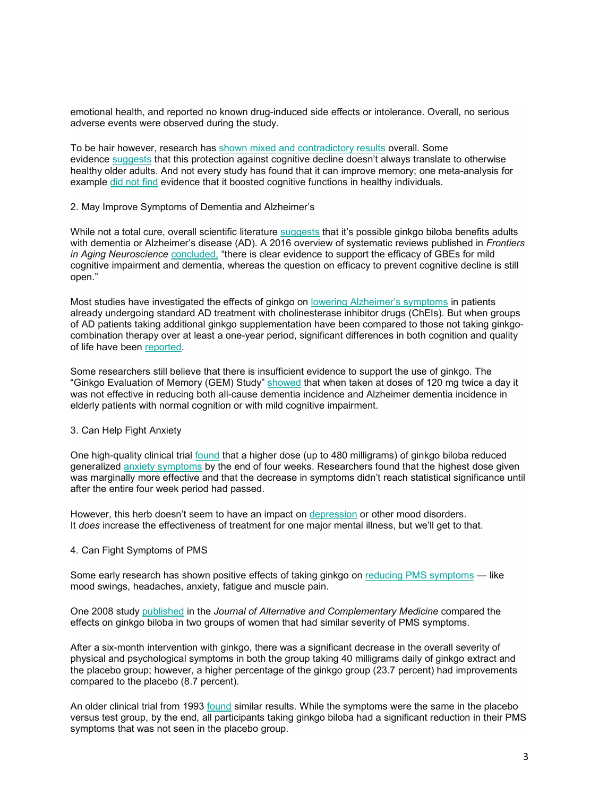emotional health, and reported no [known drug-induced side effects or in](https://www.ncbi.nlm.nih.gov/books/NBK541024/)tolerance. Overall, no serious adverse e[vents we](https://www.ncbi.nlm.nih.gov/pubmed/20040554)re observed during the study.

To be hai[r however,](https://onlinelibrary.wiley.com/doi/full/10.1002/hup.2259) research has shown mixed and contradictory results overall. Some evidence suggests that this protection against cognitive decline doesn't always translate to otherwise healthy older adults. And not every study has found that it can improve memory; one meta-analysis for example did not find evidence that it boosted cognitive functions in healthy individuals.

2. May Improve Symptoms of Dementia and Alzh[eimer's](https://www.ncbi.nlm.nih.gov/pmc/articles/PMC3679686/)

While not a total cure, o[verall scien](https://www.ncbi.nlm.nih.gov/pmc/articles/PMC5138224/)tific literature suggests that it's possible ginkgo biloba benefits adults with dementia or Alzheimer's disease (AD). A 2016 overview of systematic reviews published in *Frontiers in Aging Neuroscience* concluded, "there is clear evidence to support the efficacy of GBEs for mild cognitive impairment and dementia, whereas the question [on efficacy to prevent cognitiv](https://draxe.com/health/alzheimers-natural-treatment/)e decline is still open."

Most studies have investigated the effects of ginkgo on lowering Alzheimer's symptoms in patients already undergoing standard AD treatment with cholinesterase inhibitor drugs (ChEIs). But when groups of AD patients ta[king addit](https://www.ncbi.nlm.nih.gov/pubmed/24548724)ional ginkgo supplementation have been compared to those not taking ginkgocombination therapy over at least a one-year period, significant differences in both cognition and quality of life have been reported.

Some researchers still believe that there is insufficient evidence to support the use of ginkgo. The "Ginkgo Evaluation of Memory (GEM) Study" showed that when taken at doses of 120 mg twice a day it was not effective in reducing both all-cause dementia incidence and Alzheimer dementia incidence in elderly patients with normal cognition or with mild cognitive impairment.

## 3. Can Help Fight Anxiety

One high-quality clinical trial found that a higher dose (up to 480 milligrams) of ginkgo biloba reduced generalized anxiety symptoms by the end of four weeks. Researchers found that the highest dose given was marginally more effective and that the decrease in symptoms didn't reach statistical significance until after the entire four week period had passed.

However, this herb doesn't seem to have an impact on depression or other mood disorders. It *does* increase the effectiveness of treatment for one major mental illness, but we'll get to that.

### 4. Can Fight Symptoms of PMS

Some early research has shown positive effects of taking ginkgo on reducing PMS symptoms — like mood swings, he[adaches,](https://www.ncbi.nlm.nih.gov/pubmed/19678774) anxiety, fatigue and muscle pain.

One 2008 study published in the *Journal of Alternative and Complementary Medicine* compared the effects on ginkgo biloba in two groups of women that had similar severity of PMS symptoms.

After a six-month intervention with ginkgo, there was a significant decrease in the overall severity of physical and psychological symptoms in both the group taking 40 milligrams daily of ginkgo extract and the placebo group; however, a higher percentage of the ginkgo group (23.7 percent) had improvements compared to the placebo (8.7 p[ercent\)](https://www.ncbi.nlm.nih.gov/pubmed/8235261).

An older clinical trial from 1993 found similar results. While the symptoms were the same in the placebo versus test group, by the end, all participants taking ginkgo biloba had a significant reduction in their PMS symptoms that was not seen in the placebo group.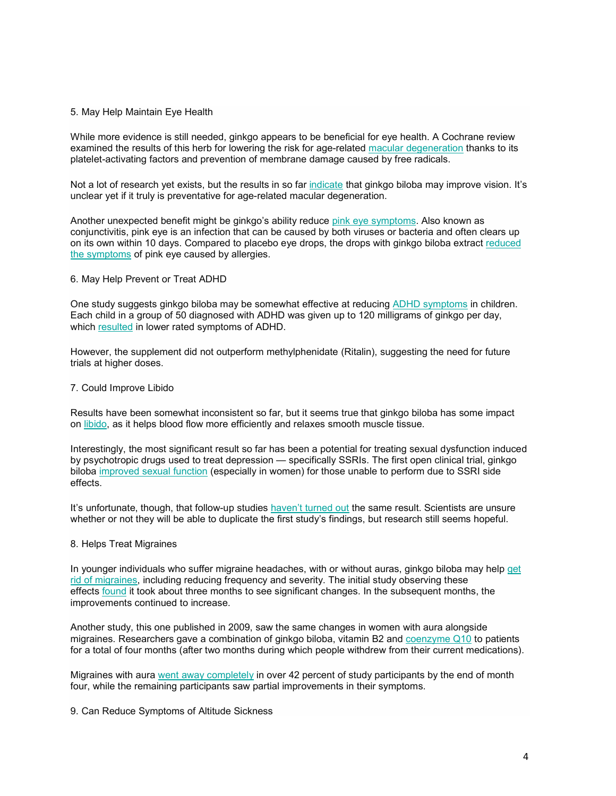## 5. May Help Maintain Eye Health

While more evidence is still needed, ginkgo appears to be beneficial for eye health. A Cochrane review examined the results of this herb for lowering the risk for [age-rela](https://www.ncbi.nlm.nih.gov/pubmedhealth/PMH0011178/)ted macular degeneration thanks to its platelet-activating factors and prevention of membrane damage caused by free radicals.

Not a lot of research yet exists, but the results in so far indicate [that ginkgo biloba](https://draxe.com/health/pink-eye-symptoms/) may improve vision. It's unclear yet if it truly is preventative for age-related macular degeneration.

Another unexpected benefit might be ginkgo's ability reduce pink eye symptoms. Also known as [conjunctivitis,](https://www.ncbi.nlm.nih.gov/pubmed/19396774) pink eye is an infection that can be caused by both viruses or bacteria and often clears up on its own within 10 days. Compared to placebo eye drops, the drops with ginkgo biloba extract reduced the symptoms of pink eye caused by allergies.

## 6. May Help Prevent or Treat ADHD

One st[udy sug](https://www.ncbi.nlm.nih.gov/pubmed/19815048)gests ginkgo biloba may be somewhat effective at reducing ADHD symptoms in children. Each child in a group of 50 diagnosed with ADHD was given up to 120 milligrams of ginkgo per day, which resulted in lower rated symptoms of ADHD.

However, the supplement did not outperform methylphenidate (Ritalin), suggesting the need for future trials at higher doses.

## 7. Could Improve Libido

Re[sults h](https://draxe.com/health/how-to-increase-libido/)ave been somewhat inconsistent so far, but it seems true that ginkgo biloba has some impact on libido, as it helps blood flow more efficiently and relaxes smooth muscle tissue.

Interes[tingly, the most significa](https://www.ncbi.nlm.nih.gov/pubmed/9611693)nt result so far has been a potential for treating sexual dysfunction induced by psychotropic drugs used to treat depression — specifically SSRIs. The first open clinical trial, ginkgo biloba improved sexual function (especially in women) for those unable to perform due to SSRI side effects.

It's unfortunate, though, that follow-up studies haven't turned out the same result. Scientists are unsure whether or not they will be able to duplicate the first study's findings, but research still seems hopeful.

### 8. Helps Treat Migraines

[In young](https://draxe.com/health/how-to-get-rid-of-a-migraine/)[er in](https://www.ncbi.nlm.nih.gov/pmc/articles/PMC3084934/)[div](https://draxe.com/health/how-to-get-rid-of-a-migraine/)iduals who suffer migraine headaches, with or without auras, ginkgo biloba may help get rid of migraines, including reducing frequency and severity. The initial study observing these effects found it took about three months to see significant changes. In the subsequent months, the improvements continued to increase.

Another study, this one published in 2009, saw the same changes in women wit[h aura alongsid](https://draxe.com/nutrition/all-about-coq10/)e migraines. Researchers gave a combination of ginkgo biloba, vitamin B2 and coenzyme Q10 to patients for a total of four mo[nths \(after two months](https://www.ncbi.nlm.nih.gov/pubmed/19415441) during which people withdrew from their current medications).

Migraines with aura went away completely in over 42 percent of study participants by the end of month four, while the remaining participants saw partial improvements in their symptoms.

9. Can Reduce Symptoms of Altitude Sickness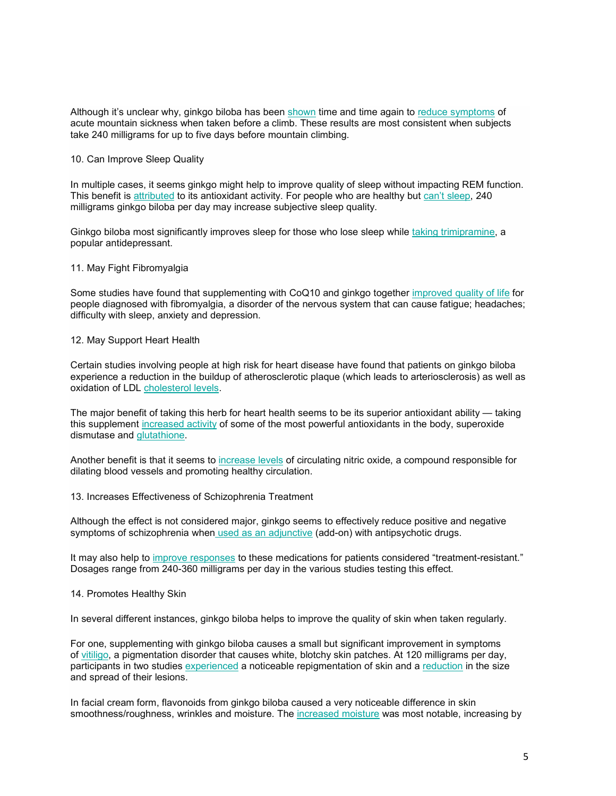Although it's unclear why, ginkgo biloba has been shown time and time again to reduce symptoms of acute mountain sickness when taken before a climb. These results are most consistent when subjects take 240 milligrams for up to five days before mountain climbing.

## 10. Can Impro[ve Sleep](https://www.ncbi.nlm.nih.gov/pubmed/11518478) Quality

In multiple cases, it seems ginkgo might help to improve quality of sleep without impacting REM function. This benefit is attributed to its antioxidant activity. For people who are healthy but [can't sleep, 240](https://www.ncbi.nlm.nih.gov/pubmed/11302564)  milligrams ginkgo biloba per day may increase subjective sleep quality.

Ginkgo biloba most significantly improves sleep for those who lose sleep while taking trimipramine, a popular antidepressant.

## 11. May Fight Fibromyalgia

Some studies have found that supplementing with CoQ10 and ginkgo together improved quality of life for people diagnosed with fibromyalgia, a disorder of the nervous system that can cause fatigue; headaches; difficulty with sleep, anxiety and depression.

## 12. May Support Heart Health

Certain studies in[volving people at](https://draxe.com/health/lower-cholesterol-naturally-fast/) high risk for heart disease have found that patients on ginkgo biloba experience a reduction in the buildup of atherosclerotic plaque (which leads to arteriosclerosis) as well as oxidation of LDL [cholesterol levels](https://www.ncbi.nlm.nih.gov/pubmed/17397850).

The major ben[efit of taking](https://draxe.com/nutrition/glutathione/) this herb for heart health seems to be its superior antioxidant ability — taking this supplement increased activity of some of the most powerful antioxidants in the body, superoxide dismutase and glutathione.

Another benefit is that it seems to increase levels of circulating nitric oxide, a compound responsible for dilating blood vessels and promoting healthy circulation.

## 13. Increases Effectiveness of Schizophrenia Treatment

Although the effect is not consider[ed major, ginkgo seem](https://www.ncbi.nlm.nih.gov/pubmed/16401239)s to effectively reduce positive and negative symptoms of schiz[ophrenia when](https://www.ncbi.nlm.nih.gov/pubmed/11775047) used as an adjunctive (add-on) with antipsychotic drugs.

It may also help to improve responses to these medications for patients considered "treatment-resistant." Dosages range from 240-360 milligrams per day in the various studies testing this effect.

### 14. Promotes Healthy Skin

In several different instances, ginkgo biloba helps to improve the quality of skin when taken regularly.

Fo[r one, s](https://draxe.com/health/vitiligo-treatment/)upplementing wit[h ginkgo bilo](https://www.ncbi.nlm.nih.gov/pubmed/21406109)ba causes a small but significant improvem[ent in sym](https://www.ncbi.nlm.nih.gov/pubmed/21406109)ptoms of vitiligo, a pigmentation disorder that causes white, blotchy skin patches. At 120 milligrams per day, participants in two studies experienced a noticeable repigmentation of skin and a reduction in the size and spread of their lesions.

In facial cream form, flavonoids from ginkgo biloba ca[used a very noticea](https://www.ncbi.nlm.nih.gov/pubmed/21406109)ble difference in skin smoothness/roughness, wrinkles and moisture. The increased moisture was most notable, increasing by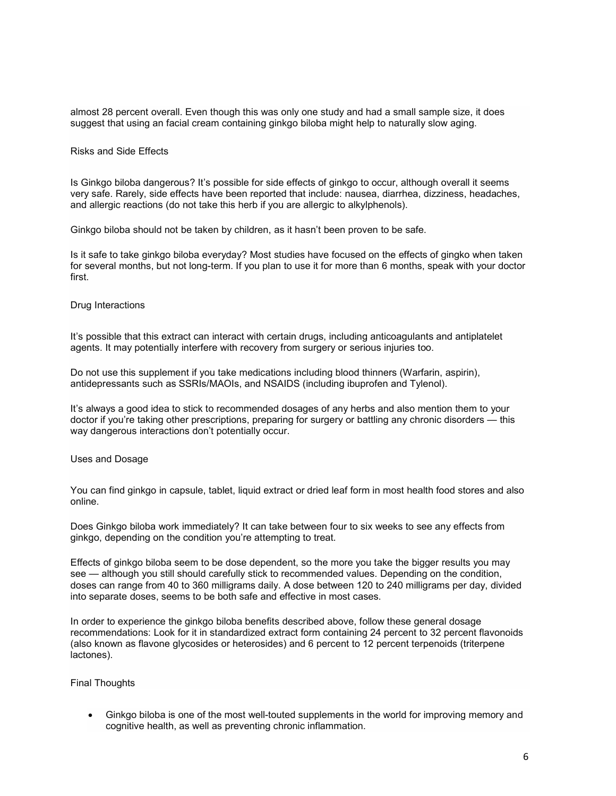almost 28 percent overall. Even though this was only one study and had a small sample size, it does suggest that using an facial cream containing ginkgo biloba might help to naturally slow aging.

#### Risks and Side Effects

Is Ginkgo biloba dangerous? It's possible for side effects of ginkgo to occur, although overall it seems very safe. Rarely, side effects have been reported that include: nausea, diarrhea, dizziness, headaches, and allergic reactions (do not take this herb if you are allergic to alkylphenols).

Ginkgo biloba should not be taken by children, as it hasn't been proven to be safe.

Is it safe to take ginkgo biloba everyday? Most studies have focused on the effects of gingko when taken for several months, but not long-term. If you plan to use it for more than 6 months, speak with your doctor first.

### Drug Interactions

It's possible that this extract can interact with certain drugs, including anticoagulants and antiplatelet agents. It may potentially interfere with recovery from surgery or serious injuries too.

Do not use this supplement if you take medications including blood thinners (Warfarin, aspirin), antidepressants such as SSRIs/MAOIs, and NSAIDS (including ibuprofen and Tylenol).

It's always a good idea to stick to recommended dosages of any herbs and also mention them to your doctor if you're taking other prescriptions, preparing for surgery or battling any chronic disorders — this way dangerous interactions don't potentially occur.

## Uses and Dosage

You can find ginkgo in capsule, tablet, liquid extract or dried leaf form in most health food stores and also online.

Does Ginkgo biloba work immediately? It can take between four to six weeks to see any effects from ginkgo, depending on the condition you're attempting to treat.

Effects of ginkgo biloba seem to be dose dependent, so the more you take the bigger results you may see — although you still should carefully stick to recommended values. Depending on the condition, doses can range from 40 to 360 milligrams daily. A dose between 120 to 240 milligrams per day, divided into separate doses, seems to be both safe and effective in most cases.

In order to experience the ginkgo biloba benefits described above, follow these general dosage recommendations: Look for it in standardized extract form containing 24 percent to 32 percent flavonoids (also known as flavone glycosides or heterosides) and 6 percent to 12 percent terpenoids (triterpene lactones).

### Final Thoughts

 Ginkgo biloba is one of the most well-touted supplements in the world for improving memory and cognitive health, as well as preventing chronic inflammation.